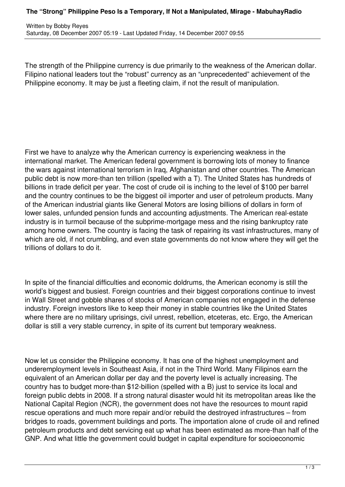## **The "Strong" Philippine Peso Is a Temporary, If Not a Manipulated, Mirage - MabuhayRadio**

The strength of the Philippine currency is due primarily to the weakness of the American dollar. Filipino national leaders tout the "robust" currency as an "unprecedented" achievement of the Philippine economy. It may be just a fleeting claim, if not the result of manipulation.

First we have to analyze why the American currency is experiencing weakness in the international market. The American federal government is borrowing lots of money to finance the wars against international terrorism in Iraq, Afghanistan and other countries. The American public debt is now more-than ten trillion (spelled with a T). The United States has hundreds of billions in trade deficit per year. The cost of crude oil is inching to the level of \$100 per barrel and the country continues to be the biggest oil importer and user of petroleum products. Many of the American industrial giants like General Motors are losing billions of dollars in form of lower sales, unfunded pension funds and accounting adjustments. The American real-estate industry is in turmoil because of the subprime-mortgage mess and the rising bankruptcy rate among home owners. The country is facing the task of repairing its vast infrastructures, many of which are old, if not crumbling, and even state governments do not know where they will get the trillions of dollars to do it.

In spite of the financial difficulties and economic doldrums, the American economy is still the world's biggest and busiest. Foreign countries and their biggest corporations continue to invest in Wall Street and gobble shares of stocks of American companies not engaged in the defense industry. Foreign investors like to keep their money in stable countries like the United States where there are no military uprisings, civil unrest, rebellion, etceteras, etc. Ergo, the American dollar is still a very stable currency, in spite of its current but temporary weakness.

Now let us consider the Philippine economy. It has one of the highest unemployment and underemployment levels in Southeast Asia, if not in the Third World. Many Filipinos earn the equivalent of an American dollar per day and the poverty level is actually increasing. The country has to budget more-than \$12-billion (spelled with a B) just to service its local and foreign public debts in 2008. If a strong natural disaster would hit its metropolitan areas like the National Capital Region (NCR), the government does not have the resources to mount rapid rescue operations and much more repair and/or rebuild the destroyed infrastructures – from bridges to roads, government buildings and ports. The importation alone of crude oil and refined petroleum products and debt servicing eat up what has been estimated as more-than half of the GNP. And what little the government could budget in capital expenditure for socioeconomic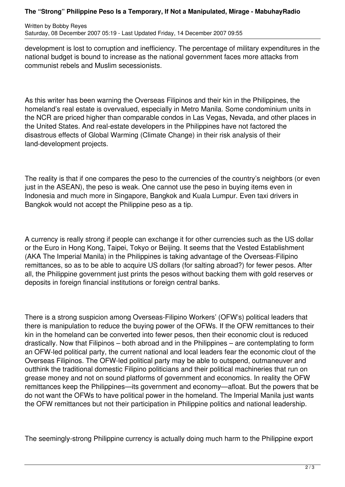## **The "Strong" Philippine Peso Is a Temporary, If Not a Manipulated, Mirage - MabuhayRadio**

Written by Bobby Reyes Saturday, 08 December 2007 05:19 - Last Updated Friday, 14 December 2007 09:55

development is lost to corruption and inefficiency. The percentage of military expenditures in the national budget is bound to increase as the national government faces more attacks from communist rebels and Muslim secessionists.

As this writer has been warning the Overseas Filipinos and their kin in the Philippines, the homeland's real estate is overvalued, especially in Metro Manila. Some condominium units in the NCR are priced higher than comparable condos in Las Vegas, Nevada, and other places in the United States. And real-estate developers in the Philippines have not factored the disastrous effects of Global Warming (Climate Change) in their risk analysis of their land-development projects.

The reality is that if one compares the peso to the currencies of the country's neighbors (or even just in the ASEAN), the peso is weak. One cannot use the peso in buying items even in Indonesia and much more in Singapore, Bangkok and Kuala Lumpur. Even taxi drivers in Bangkok would not accept the Philippine peso as a tip.

A currency is really strong if people can exchange it for other currencies such as the US dollar or the Euro in Hong Kong, Taipei, Tokyo or Beijing. It seems that the Vested Establishment (AKA The Imperial Manila) in the Philippines is taking advantage of the Overseas-Filipino remittances, so as to be able to acquire US dollars (for salting abroad?) for fewer pesos. After all, the Philippine government just prints the pesos without backing them with gold reserves or deposits in foreign financial institutions or foreign central banks.

There is a strong suspicion among Overseas-Filipino Workers' (OFW's) political leaders that there is manipulation to reduce the buying power of the OFWs. If the OFW remittances to their kin in the homeland can be converted into fewer pesos, then their economic clout is reduced drastically. Now that Filipinos – both abroad and in the Philippines – are contemplating to form an OFW-led political party, the current national and local leaders fear the economic clout of the Overseas Filipinos. The OFW-led political party may be able to outspend, outmaneuver and outthink the traditional domestic Filipino politicians and their political machineries that run on grease money and not on sound platforms of government and economics. In reality the OFW remittances keep the Philippines—its government and economy—afloat. But the powers that be do not want the OFWs to have political power in the homeland. The Imperial Manila just wants the OFW remittances but not their participation in Philippine politics and national leadership.

The seemingly-strong Philippine currency is actually doing much harm to the Philippine export